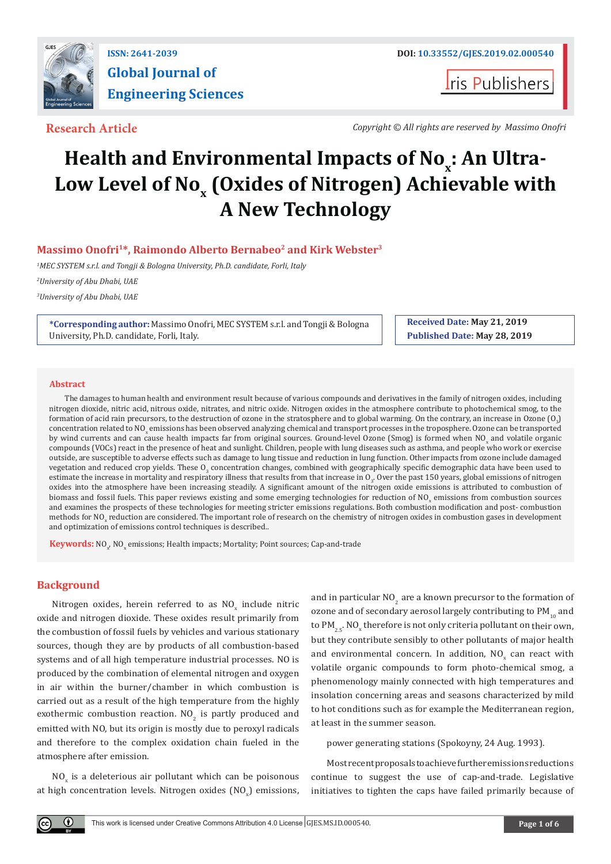

**Global Journal of Engineering Sciences**

**I**ris Publishers

**Research Article** *Copyright © All rights are reserved by Massimo Onofri*

# Health and Environmental Impacts of No<sub>x</sub>: An Ultra-**Low Level of No x (Oxides of Nitrogen) Achievable with A New Technology**

# **Massimo Onofri1\*, Raimondo Alberto Bernabeo2 and Kirk Webster3**

*1 MEC SYSTEM s.r.l. and Tongji & Bologna University, Ph.D. candidate, Forli, Italy*

*2 University of Abu Dhabi, UAE*

*3 University of Abu Dhabi, UAE*

**\*Corresponding author:** Massimo Onofri, MEC SYSTEM s.r.l. and Tongji & Bologna University, Ph.D. candidate, Forli, Italy.

**Received Date: May 21, 2019 Published Date: May 28, 2019**

#### **Abstract**

The damages to human health and environment result because of various compounds and derivatives in the family of nitrogen oxides, including nitrogen dioxide, nitric acid, nitrous oxide, nitrates, and nitric oxide. Nitrogen oxides in the atmosphere contribute to photochemical smog, to the formation of acid rain precursors, to the destruction of ozone in the stratosphere and to global warming. On the contrary, an increase in Ozone  $(0,\)$ concentration related to NO<sub>x</sub> emissions has been observed analyzing chemical and transport processes in the troposphere. Ozone can be transported<br>. by wind currents and can cause health impacts far from original sources. Ground-level Ozone (Smog) is formed when  $N O_x$  and volatile organic compounds (VOCs) react in the presence of heat and sunlight. Children, people with lung diseases such as asthma, and people who work or exercise outside, are susceptible to adverse effects such as damage to lung tissue and reduction in lung function. Other impacts from ozone include damaged vegetation and reduced crop yields. These  $0_{_3}$  concentration changes, combined with geographically specific demographic data have been used to estimate the increase in mortality and respiratory illness that results from that increase in  $0<sub>3</sub>$ . Over the past 150 years, global emissions of nitrogen oxides into the atmosphere have been increasing steadily. A significant amount of the nitrogen oxide emissions is attributed to combustion of biomass and fossil fuels. This paper reviews existing and some emerging technologies for reduction of  $NQ_x$  emissions from combustion sources and examines the prospects of these technologies for meeting stricter emissions regulations. Both combustion modification and post- combustion methods for NO<sub>x</sub> reduction are considered. The important role of research on the chemistry of nitrogen oxides in combustion gases in development and optimization of emissions control techniques is described..

 $\textbf{\textit{Keywords:}}\ \text{NO}_{\textbf{\textit{x}}} \ \text{NO}_{\textbf{\textit{x}}}$  emissions; Health impacts; Mortality; Point sources; Cap-and-trade

# **Background**

Nitrogen oxides, herein referred to as  $NO_x$  include nitric oxide and nitrogen dioxide. These oxides result primarily from the combustion of fossil fuels by vehicles and various stationary sources, though they are by products of all combustion-based systems and of all high temperature industrial processes. NO is produced by the combination of elemental nitrogen and oxygen in air within the burner/chamber in which combustion is carried out as a result of the high temperature from the highly exothermic combustion reaction.  $NO<sub>2</sub>$  is partly produced and emitted with NO, but its origin is mostly due to peroxyl radicals and therefore to the complex oxidation chain fueled in the atmosphere after emission.

 $NO<sub>x</sub>$  is a deleterious air pollutant which can be poisonous at high concentration levels. Nitrogen oxides  $(\mathtt{NO_x})$  emissions, and in particular  $NO<sub>2</sub>$  are a known precursor to the formation of ozone and of secondary aerosol largely contributing to  $PM_{10}$  and to PM $_{2.5}$ . NO<sub>x</sub> therefore is not only criteria pollutant on their own, but they contribute sensibly to other pollutants of major health and environmental concern. In addition,  $\text{NO}_{\text{x}}$  can react with volatile organic compounds to form photo-chemical smog, a phenomenology mainly connected with high temperatures and insolation concerning areas and seasons characterized by mild to hot conditions such as for example the Mediterranean region, at least in the summer season.

power generating stations (Spokoyny, 24 Aug. 1993).

Most recent proposals to achieve further emissions reductions continue to suggest the use of cap-and-trade. Legislative initiatives to tighten the caps have failed primarily because of

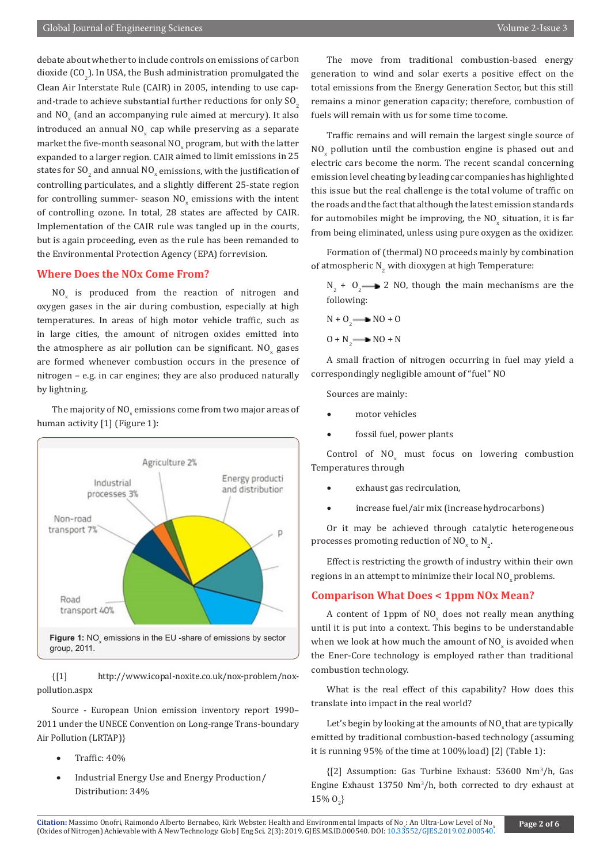debate about whether to include controls on emissions of carbon dioxide (CO<sub>2</sub>). In USA, the Bush administration promulgated the Clean Air Interstate Rule (CAIR) in 2005, intending to use capand-trade to achieve substantial further reductions for only  $SO<sub>2</sub>$ and  $NO_{x}$  (and an accompanying rule aimed at mercury). It also introduced an annual  $NO_x$  cap while preserving as a separate market the five-month seasonal NO<sub>x</sub> program, but with the latter expanded to a larger region. CAIR aimed to limit emissions in 25 states for  $SO_2$  and annual  $NO_x$  emissions, with the justification of controlling particulates, and a slightly different 25-state region for controlling summer- season  $\text{NO}_x$  emissions with the intent of controlling ozone. In total, 28 states are affected by CAIR. Implementation of the CAIR rule was tangled up in the courts, but is again proceeding, even as the rule has been remanded to the Environmental Protection Agency (EPA) for revision.

## **Where Does the NOx Come From?**

 $NO<sub>x</sub>$  is produced from the reaction of nitrogen and oxygen gases in the air during combustion, especially at high temperatures. In areas of high motor vehicle traffic, such as in large cities, the amount of nitrogen oxides emitted into the atmosphere as air pollution can be significant.  $\mathsf{NO}_{\mathbf{x}}$  gases are formed whenever combustion occurs in the presence of nitrogen – e.g. in car engines; they are also produced naturally by lightning.

The majority of  $\mathsf{NO}_\mathsf{x}$  emissions come from two major areas of human activity [1] (Figure 1):



{[1] http://www.icopal-noxite.co.uk/nox-problem/noxpollution.aspx

Source - European Union emission inventory report 1990– 2011 under the UNECE Convention on Long-range Trans-boundary Air Pollution (LRTAP)}

- Traffic:  $40%$
- Industrial Energy Use and Energy Production/ Distribution: 34%

The move from traditional combustion-based energy generation to wind and solar exerts a positive effect on the total emissions from the Energy Generation Sector, but this still remains a minor generation capacity; therefore, combustion of fuels will remain with us for some time to come.

Traffic remains and will remain the largest single source of  $NO<sub>x</sub>$  pollution until the combustion engine is phased out and electric cars become the norm. The recent scandal concerning emission level cheating by leading car companies has highlighted this issue but the real challenge is the total volume of traffic on the roads and the fact that although the latest emission standards for automobiles might be improving, the  $\rm NO_x$  situation, it is far from being eliminated, unless using pure oxygen as the oxidizer.

Formation of (thermal) NO proceeds mainly by combination of atmospheric  $N_{2}$  with dioxygen at high Temperature:

 $N_2$  + O<sub>2</sub>  $\longrightarrow$  2 NO, though the main mechanisms are the following:

$$
N + O2 \longrightarrow NO + O
$$
  

$$
O + N2 \longrightarrow NO + N
$$

A small fraction of nitrogen occurring in fuel may yield a correspondingly negligible amount of "fuel" NO

Sources are mainly:

- motor vehicles
- fossil fuel, power plants

Control of  $NO_x$  must focus on lowering combustion Temperatures through

- exhaust gas recirculation,
- increase fuel/air mix (increase hydrocarbons)

Or it may be achieved through catalytic heterogeneous processes promoting reduction of NO<sub>x</sub> to N<sub>2</sub>.

Effect is restricting the growth of industry within their own regions in an attempt to minimize their local NO<sub>v</sub> problems.

#### **Comparison What Does < 1ppm NOx Mean?**

A content of 1ppm of  $NO_x$  does not really mean anything until it is put into a context. This begins to be understandable when we look at how much the amount of  $\mathrm{NO}_{\mathrm{x}}$  is avoided when the Ener-Core technology is employed rather than traditional combustion technology.

What is the real effect of this capability? How does this translate into impact in the real world?

Let's begin by looking at the amounts of NO<sub>y</sub> that are typically emitted by traditional combustion-based technology (assuming it is running 95% of the time at 100% load) [2] (Table 1):

{[2] Assumption: Gas Turbine Exhaust: 53600 Nm<sup>3</sup> /h, Gas Engine Exhaust 13750 Nm3 /h, both corrected to dry exhaust at  $15\% O_2$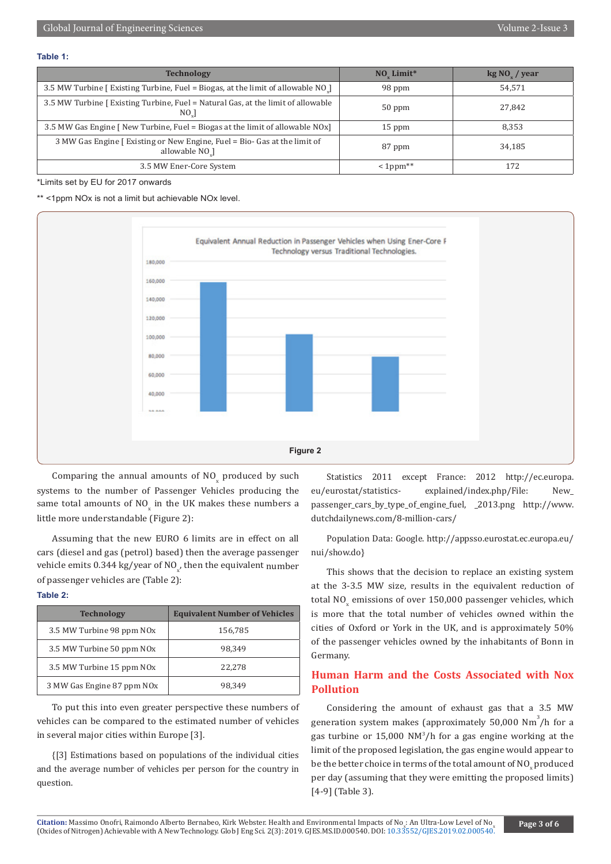#### **Table 1:**

| <b>Technology</b>                                                                                        | NO_Limit*  | $kg\,NO_{v}$ / year |
|----------------------------------------------------------------------------------------------------------|------------|---------------------|
| 3.5 MW Turbine [Existing Turbine, Fuel = Biogas, at the limit of allowable NO <sub>.</sub> ]             | 98 ppm     | 54,571              |
| 3.5 MW Turbine [Existing Turbine, Fuel = Natural Gas, at the limit of allowable<br>$NO_{u}$              | $50$ ppm   | 27,842              |
| 3.5 MW Gas Engine [ New Turbine, Fuel = Biogas at the limit of allowable NOx]                            | $15$ ppm   | 8.353               |
| 3 MW Gas Engine [ Existing or New Engine, Fuel = Bio- Gas at the limit of<br>allowable NO <sub>.</sub> ] | 87 ppm     | 34,185              |
| 3.5 MW Ener-Core System                                                                                  | $<1$ ppm** | 172                 |

### \*Limits set by EU for 2017 onwards

\*\* <1ppm NOx is not a limit but achievable NOx level.



Comparing the annual amounts of  $NO<sub>x</sub>$  produced by such systems to the number of Passenger Vehicles producing the same total amounts of NO in the UK makes these numbers a little more understandable (Figure 2):

Assuming that the new EURO 6 limits are in effect on all cars (diesel and gas (petrol) based) then the average passenger vehicle emits 0.344 kg/year of NO<sub>x</sub>, then the equivalent  $\mathop{\rm number}\limits$ of passenger vehicles are (Table 2):

#### **Table 2:**

| <b>Technology</b>                      | <b>Equivalent Number of Vehicles</b> |
|----------------------------------------|--------------------------------------|
| 3.5 MW Turbine 98 ppm NO <sub>x</sub>  | 156,785                              |
| 3.5 MW Turbine 50 ppm NO <sub>x</sub>  | 98.349                               |
| 3.5 MW Turbine 15 ppm NO <sub>x</sub>  | 22,278                               |
| 3 MW Gas Engine 87 ppm NO <sub>x</sub> | 98.349                               |

To put this into even greater perspective these numbers of vehicles can be compared to the estimated number of vehicles in several major cities within Europe [3].

{[3] Estimations based on populations of the individual cities and the average number of vehicles per person for the country in question.

Statistics 2011 except France: 2012 http://ec.europa. eu/eurostat/statistics- explained/index.php/File: New\_ passenger\_cars\_by\_type\_of\_engine\_fuel, \_2013.png http://www. dutchdailynews.com/8-million-cars/

Population Data: Google. http://appsso.eurostat.ec.europa.eu/ nui/show.do}

This shows that the decision to replace an existing system at the 3-3.5 MW size, results in the equivalent reduction of total NO<sub>x</sub> emissions of over  $150,\!000$  passenger vehicles, which is more that the total number of vehicles owned within the cities of Oxford or York in the UK, and is approximately 50% of the passenger vehicles owned by the inhabitants of Bonn in Germany.

# **Human Harm and the Costs Associated with Nox Pollution**

Considering the amount of exhaust gas that a 3.5 MW generation system makes (approximately  $50,000$  Nm<sup>3</sup>/h for a gas turbine or 15,000 NM3 /h for a gas engine working at the limit of the proposed legislation, the gas engine would appear to be the better choice in terms of the total amount of  $\mathsf{NO}_{\mathbf{x}}^{}$  produced per day (assuming that they were emitting the proposed limits) [4-9] (Table 3).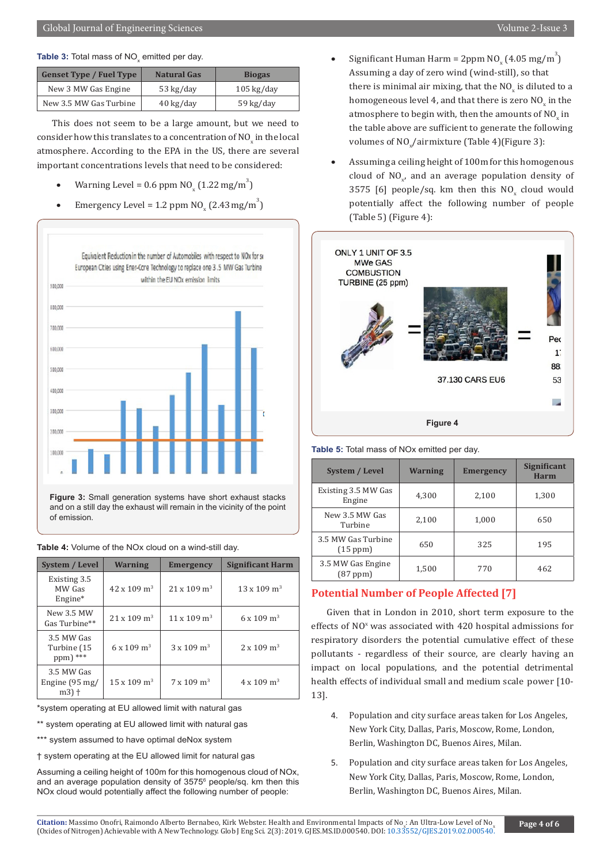| <b>Genset Type / Fuel Type</b> | <b>Natural Gas</b>  | <b>Biogas</b>        |
|--------------------------------|---------------------|----------------------|
| New 3 MW Gas Engine            | 53 kg/day           | $105 \text{ kg/day}$ |
| New 3.5 MW Gas Turbine         | $40 \text{ kg/day}$ | 59 kg/day            |

This does not seem to be a large amount, but we need to consider how this translates to a concentration of  $\mathrm{NO_x}$  in the local atmosphere. According to the EPA in the US, there are several important concentrations levels that need to be considered:

- Warning Level =  $0.6$  ppm  $NO_x (1.22 \text{ mg/m}^3)$
- Emergency Level = 1.2 ppm  $NO_x (2.43 mg/m^3)$



**Figure 3:** Small generation systems have short exhaust stacks and on a still day the exhaust will remain in the vicinity of the point of emission.

|  |  |  | Table 4: Volume of the NOx cloud on a wind-still day. |  |
|--|--|--|-------------------------------------------------------|--|
|  |  |  |                                                       |  |

| <b>System / Level</b>                  | <b>Warning</b>                 | <b>Emergency</b>               | <b>Significant Harm</b>        |
|----------------------------------------|--------------------------------|--------------------------------|--------------------------------|
| Existing 3.5<br>MW Gas<br>$Engine*$    | $42 \times 109$ m <sup>3</sup> | $21 \times 109$ m <sup>3</sup> | $13 \times 109$ m <sup>3</sup> |
| New 3.5 MW<br>Gas Turbine**            | $21 \times 109$ m <sup>3</sup> | $11 \times 109$ m <sup>3</sup> | $6 \times 109$ m <sup>3</sup>  |
| 3.5 MW Gas<br>Turbine (15<br>ppm) ***  | $6 \times 109$ m <sup>3</sup>  | $3 \times 109$ m <sup>3</sup>  | $2 \times 109$ m <sup>3</sup>  |
| 3.5 MW Gas<br>Engine (95 mg/<br>$m3$ + | $15 \times 109$ m <sup>3</sup> | $7 \times 109$ m <sup>3</sup>  | $4 \times 109$ m <sup>3</sup>  |

\*system operating at EU allowed limit with natural gas

\*\* system operating at EU allowed limit with natural gas

\*\*\* system assumed to have optimal deNox system

† system operating at the EU allowed limit for natural gas

Assuming a ceiling height of 100m for this homogenous cloud of NOx, and an average population density of 3575<sup>6</sup> people/sq. km then this NOx cloud would potentially affect the following number of people:

- Significant Human Harm =  $2ppm NO_x (4.05 mg/m^3)$ Assuming a day of zero wind (wind-still), so that there is minimal air mixing, that the  $\rm NO_x$  is diluted to a homogeneous level 4, and that there is zero  $\rm NO_x$  in the atmosphere to begin with, then the amounts of  $NO_x$  in the table above are sufficient to generate the following volumes of  $\text{NO}_x/\text{airmixture}$  (Table 4)(Figure 3):
- Assuming a ceiling height of 100m for this homogenous cloud of  $NO_{x}$ , and an average population density of  $3575$  [6] people/sq. km then this  $N O_x$  cloud would potentially affect the following number of people (Table 5) (Figure 4):





| <b>System / Level</b>              | <b>Warning</b> | <b>Emergency</b> | <b>Significant</b><br><b>Harm</b> |
|------------------------------------|----------------|------------------|-----------------------------------|
| Existing 3.5 MW Gas<br>Engine      | 4,300          | 2,100            | 1,300                             |
| New 3.5 MW Gas<br>Turbine          | 2,100          | 1,000            | 650                               |
| 3.5 MW Gas Turbine<br>(15 ppm)     | 650            | 325              | 195                               |
| 3.5 MW Gas Engine<br>$(87$ ppm $)$ | 1,500          | 770              | 462                               |

# **Potential Number of People Affected [7]**

Given that in London in 2010, short term exposure to the effects of NO<sup>x</sup> was associated with 420 hospital admissions for respiratory disorders the potential cumulative effect of these pollutants - regardless of their source, are clearly having an impact on local populations, and the potential detrimental health effects of individual small and medium scale power [10- 13].

- 4. Population and city surface areas taken for Los Angeles, New York City, Dallas, Paris, Moscow, Rome, London, Berlin, Washington DC, Buenos Aires, Milan.
- 5. Population and city surface areas taken for Los Angeles, New York City, Dallas, Paris, Moscow, Rome, London, Berlin, Washington DC, Buenos Aires, Milan.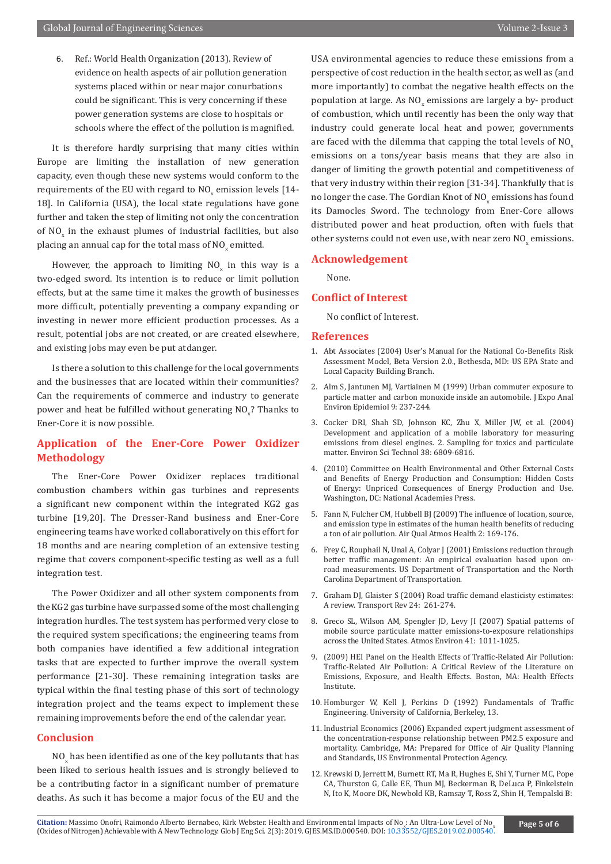6. Ref.: World Health Organization (2013). Review of evidence on health aspects of air pollution generation systems placed within or near major conurbations could be significant. This is very concerning if these power generation systems are close to hospitals or schools where the effect of the pollution is magnified.

It is therefore hardly surprising that many cities within Europe are limiting the installation of new generation capacity, even though these new systems would conform to the requirements of the EU with regard to  $\rm NO_x$  emission levels [14-18]. In California (USA), the local state regulations have gone further and taken the step of limiting not only the concentration of  $NO_x$  in the exhaust plumes of industrial facilities, but also placing an annual cap for the total mass of  $\mathrm{NO}_{\mathrm{x}}$  emitted.

However, the approach to limiting  $NO_x$  in this way is a two-edged sword. Its intention is to reduce or limit pollution effects, but at the same time it makes the growth of businesses more difficult, potentially preventing a company expanding or investing in newer more efficient production processes. As a result, potential jobs are not created, or are created elsewhere, and existing jobs may even be put at danger.

Is there a solution to this challenge for the local governments and the businesses that are located within their communities? Can the requirements of commerce and industry to generate power and heat be fulfilled without generating  $\text{NO}_x$ ? Thanks to Ener-Core it is now possible.

# **Application of the Ener-Core Power Oxidizer Methodology**

The Ener-Core Power Oxidizer replaces traditional combustion chambers within gas turbines and represents a significant new component within the integrated KG2 gas turbine [19,20]. The Dresser-Rand business and Ener-Core engineering teams have worked collaboratively on this effort for 18 months and are nearing completion of an extensive testing regime that covers component-specific testing as well as a full integration test.

The Power Oxidizer and all other system components from the KG2 gas turbine have surpassed some of the most challenging integration hurdles. The test system has performed very close to the required system specifications; the engineering teams from both companies have identified a few additional integration tasks that are expected to further improve the overall system performance [21-30]. These remaining integration tasks are typical within the final testing phase of this sort of technology integration project and the teams expect to implement these remaining improvements before the end of the calendar year.

### **Conclusion**

 $\rm NO_{_X}$  has been identified as one of the key pollutants that has been liked to serious health issues and is strongly believed to be a contributing factor in a significant number of premature deaths. As such it has become a major focus of the EU and the

USA environmental agencies to reduce these emissions from a perspective of cost reduction in the health sector, as well as (and more importantly) to combat the negative health effects on the population at large. As  $NO_x$  emissions are largely a by- product of combustion, which until recently has been the only way that industry could generate local heat and power, governments are faced with the dilemma that capping the total levels of NO emissions on a tons/year basis means that they are also in danger of limiting the growth potential and competitiveness of that very industry within their region [31-34]. Thankfully that is no longer the case. The Gordian Knot of  $\mathsf{NO}_{\mathsf{x}}$  emissions has found its Damocles Sword. The technology from Ener-Core allows distributed power and heat production, often with fuels that other systems could not even use, with near zero  $\mathsf{NO}_\mathsf{x}$  emissions.

#### **Acknowledgement**

None.

#### **Conflict of Interest**

No conflict of Interest.

#### **References**

- 1. Abt Associates (2004) User's Manual for the National Co-Benefits Risk Assessment Model, Beta Version 2.0., Bethesda, MD: US EPA State and Local Capacity Building Branch.
- 2. [Alm S, Jantunen MJ, Vartiainen M \(1999\) Urban commuter exposure to](https://www.ncbi.nlm.nih.gov/pubmed/10412672) [particle matter and carbon monoxide inside an automobile. J Expo Anal](https://www.ncbi.nlm.nih.gov/pubmed/10412672) [Environ Epidemiol 9: 237-244.](https://www.ncbi.nlm.nih.gov/pubmed/10412672)
- 3. [Cocker DRI, Shah SD, Johnson KC, Zhu X, Miller JW, et al. \(2004\)](https://www.ncbi.nlm.nih.gov/pubmed/15669343) [Development and application of a mobile laboratory for measuring](https://www.ncbi.nlm.nih.gov/pubmed/15669343) [emissions from diesel engines. 2. Sampling for toxics and particulate](https://www.ncbi.nlm.nih.gov/pubmed/15669343) [matter. Environ Sci Technol 38: 6809-6816.](https://www.ncbi.nlm.nih.gov/pubmed/15669343)
- 4. (2010) Committee on Health Environmental and Other External Costs and Benefits of Energy Production and Consumption: Hidden Costs of Energy: Unpriced Consequences of Energy Production and Use. Washington, DC: National Academies Press.
- 5. [Fann N, Fulcher CM, Hubbell BJ \(2009\) The influence of location, source,](https://www.ncbi.nlm.nih.gov/pmc/articles/PMC2770129/) [and emission type in estimates of the human health benefits of reducing](https://www.ncbi.nlm.nih.gov/pmc/articles/PMC2770129/) [a ton of air pollution. Air Qual Atmos Health 2: 169-176.](https://www.ncbi.nlm.nih.gov/pmc/articles/PMC2770129/)
- 6. Frey C, Rouphail N, Unal A, Colyar J (2001) Emissions reduction through better traffic management: An empirical evaluation based upon onroad measurements. US Department of Transportation and the North Carolina Department of Transportation.
- 7. Graham DJ, Glaister S (2004) Road traffic demand elasticisty estimates: A review. Transport Rev 24: 261-274.
- 8. [Greco SL, Wilson AM, Spengler JD, Levy JI \(2007\) Spatial patterns of](https://www.sciencedirect.com/science/article/pii/S1352231006009654) [mobile source particulate matter emissions-to-exposure relationships](https://www.sciencedirect.com/science/article/pii/S1352231006009654) [across the United States. Atmos Environ 41:](https://www.sciencedirect.com/science/article/pii/S1352231006009654) 1011-1025.
- 9. (2009) HEI Panel on the Health Effects of Traffic-Related Air Pollution: Traffic-Related Air Pollution: A Critical Review of the Literature on Emissions, Exposure, and Health Effects. Boston, MA: Health Effects Institute.
- 10. Homburger W, Kell J, Perkins D (1992) Fundamentals of Traffic Engineering. University of California, Berkeley, 13.
- 11. Industrial Economics (2006) Expanded expert judgment assessment of the concentration-response relationship between PM2.5 exposure and mortality. Cambridge, MA: Prepared for Office of Air Quality Planning and Standards, US Environmental Protection Agency.
- 12. Krewski D, Jerrett M, Burnett RT, Ma R, Hughes E, Shi Y, Turner MC, Pope CA, Thurston G, Calle EE, Thun MJ, Beckerman B, DeLuca P, Finkelstein N, Ito K, Moore DK, Newbold KB, Ramsay T, Ross Z, Shin H, Tempalski B: